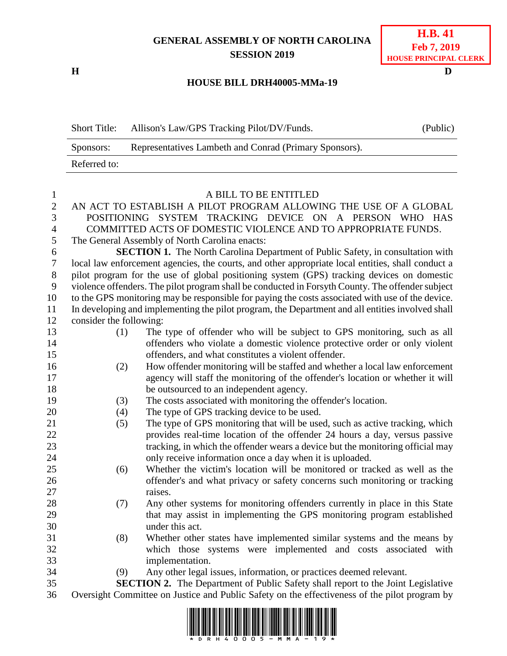## **GENERAL ASSEMBLY OF NORTH CAROLINA SESSION 2019**

**H D**

## **H.B. 41 Feb 7, 2019 HOUSE PRINCIPAL CLERK**

## **HOUSE BILL DRH40005-MMa-19**

| <b>Short Title:</b> | Allison's Law/GPS Tracking Pilot/DV/Funds.             | (Public) |
|---------------------|--------------------------------------------------------|----------|
| Sponsors:           | Representatives Lambeth and Conrad (Primary Sponsors). |          |
| Referred to:        |                                                        |          |

| $\mathbf{1}$   | A BILL TO BE ENTITLED                                                                             |                                                                                |  |
|----------------|---------------------------------------------------------------------------------------------------|--------------------------------------------------------------------------------|--|
| $\overline{2}$ |                                                                                                   | AN ACT TO ESTABLISH A PILOT PROGRAM ALLOWING THE USE OF A GLOBAL               |  |
| 3              | POSITIONING SYSTEM TRACKING DEVICE ON A PERSON<br>WHO HAS                                         |                                                                                |  |
| $\overline{4}$ | COMMITTED ACTS OF DOMESTIC VIOLENCE AND TO APPROPRIATE FUNDS.                                     |                                                                                |  |
| 5              | The General Assembly of North Carolina enacts:                                                    |                                                                                |  |
| 6              | <b>SECTION 1.</b> The North Carolina Department of Public Safety, in consultation with            |                                                                                |  |
| $\tau$         | local law enforcement agencies, the courts, and other appropriate local entities, shall conduct a |                                                                                |  |
| $8\,$          | pilot program for the use of global positioning system (GPS) tracking devices on domestic         |                                                                                |  |
| 9              | violence offenders. The pilot program shall be conducted in Forsyth County. The offender subject  |                                                                                |  |
| 10             | to the GPS monitoring may be responsible for paying the costs associated with use of the device.  |                                                                                |  |
| 11             | In developing and implementing the pilot program, the Department and all entities involved shall  |                                                                                |  |
| 12             | consider the following:                                                                           |                                                                                |  |
| 13             | (1)                                                                                               | The type of offender who will be subject to GPS monitoring, such as all        |  |
| 14             |                                                                                                   | offenders who violate a domestic violence protective order or only violent     |  |
| 15             |                                                                                                   | offenders, and what constitutes a violent offender.                            |  |
| 16             | (2)                                                                                               | How offender monitoring will be staffed and whether a local law enforcement    |  |
| 17             |                                                                                                   | agency will staff the monitoring of the offender's location or whether it will |  |
| 18             |                                                                                                   | be outsourced to an independent agency.                                        |  |
| 19             | (3)                                                                                               | The costs associated with monitoring the offender's location.                  |  |
| 20             | (4)                                                                                               | The type of GPS tracking device to be used.                                    |  |
| 21             | (5)                                                                                               | The type of GPS monitoring that will be used, such as active tracking, which   |  |
| 22             |                                                                                                   | provides real-time location of the offender 24 hours a day, versus passive     |  |
| 23             |                                                                                                   | tracking, in which the offender wears a device but the monitoring official may |  |
| 24             |                                                                                                   | only receive information once a day when it is uploaded.                       |  |
| 25             | (6)                                                                                               | Whether the victim's location will be monitored or tracked as well as the      |  |
| 26             |                                                                                                   | offender's and what privacy or safety concerns such monitoring or tracking     |  |
| 27             |                                                                                                   | raises.                                                                        |  |
| 28             | (7)                                                                                               | Any other systems for monitoring offenders currently in place in this State    |  |
| 29             |                                                                                                   | that may assist in implementing the GPS monitoring program established         |  |
| 30             |                                                                                                   | under this act.                                                                |  |
| 31             | (8)                                                                                               | Whether other states have implemented similar systems and the means by         |  |
| 32             |                                                                                                   | which those systems were implemented and costs associated with                 |  |
| 33             |                                                                                                   | implementation.                                                                |  |
| 34             | (9)                                                                                               | Any other legal issues, information, or practices deemed relevant.             |  |
| 35             | <b>SECTION 2.</b> The Department of Public Safety shall report to the Joint Legislative           |                                                                                |  |
| 36             | Oversight Committee on Justice and Public Safety on the effectiveness of the pilot program by     |                                                                                |  |